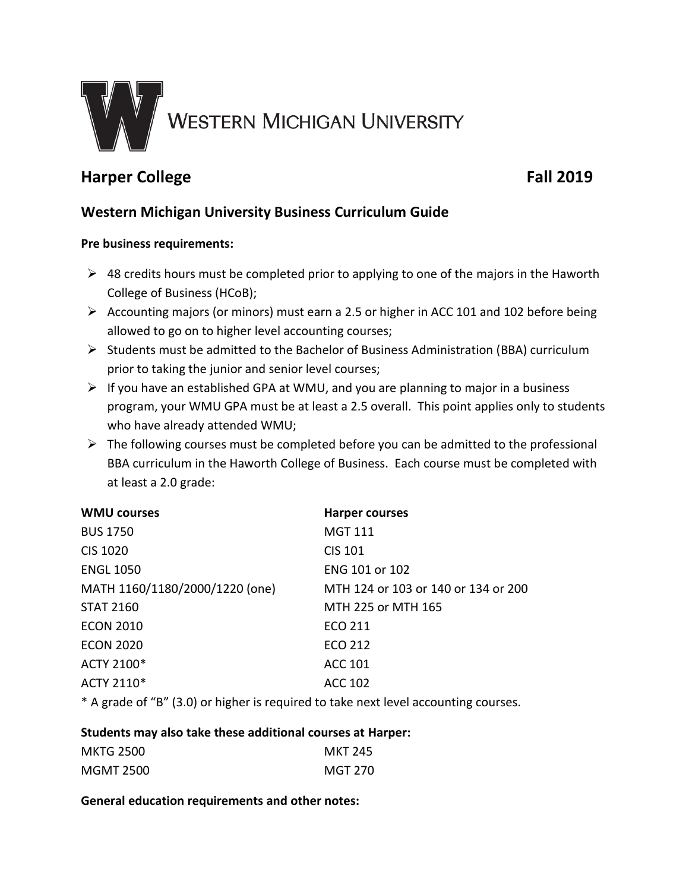

# **Harper College Fall 2019**

## **Western Michigan University Business Curriculum Guide**

### **Pre business requirements:**

- $\triangleright$  48 credits hours must be completed prior to applying to one of the majors in the Haworth College of Business (HCoB);
- $\triangleright$  Accounting majors (or minors) must earn a 2.5 or higher in ACC 101 and 102 before being allowed to go on to higher level accounting courses;
- $\triangleright$  Students must be admitted to the Bachelor of Business Administration (BBA) curriculum prior to taking the junior and senior level courses;
- $\triangleright$  If you have an established GPA at WMU, and you are planning to major in a business program, your WMU GPA must be at least a 2.5 overall. This point applies only to students who have already attended WMU;
- $\triangleright$  The following courses must be completed before you can be admitted to the professional BBA curriculum in the Haworth College of Business. Each course must be completed with at least a 2.0 grade:

| <b>WMU courses</b>             | <b>Harper courses</b>               |
|--------------------------------|-------------------------------------|
| <b>BUS 1750</b>                | <b>MGT 111</b>                      |
| <b>CIS 1020</b>                | <b>CIS 101</b>                      |
| <b>ENGL 1050</b>               | ENG 101 or 102                      |
| MATH 1160/1180/2000/1220 (one) | MTH 124 or 103 or 140 or 134 or 200 |
| <b>STAT 2160</b>               | MTH 225 or MTH 165                  |
| <b>ECON 2010</b>               | ECO 211                             |
| <b>ECON 2020</b>               | <b>ECO 212</b>                      |
| ACTY 2100*                     | <b>ACC 101</b>                      |
| ACTY 2110*                     | <b>ACC 102</b>                      |
|                                |                                     |

\* A grade of "B" (3.0) or higher is required to take next level accounting courses.

#### **Students may also take these additional courses at Harper:**

| <b>MKTG 2500</b> | <b>MKT 245</b> |
|------------------|----------------|
| <b>MGMT 2500</b> | MGT 270        |

#### **General education requirements and other notes:**